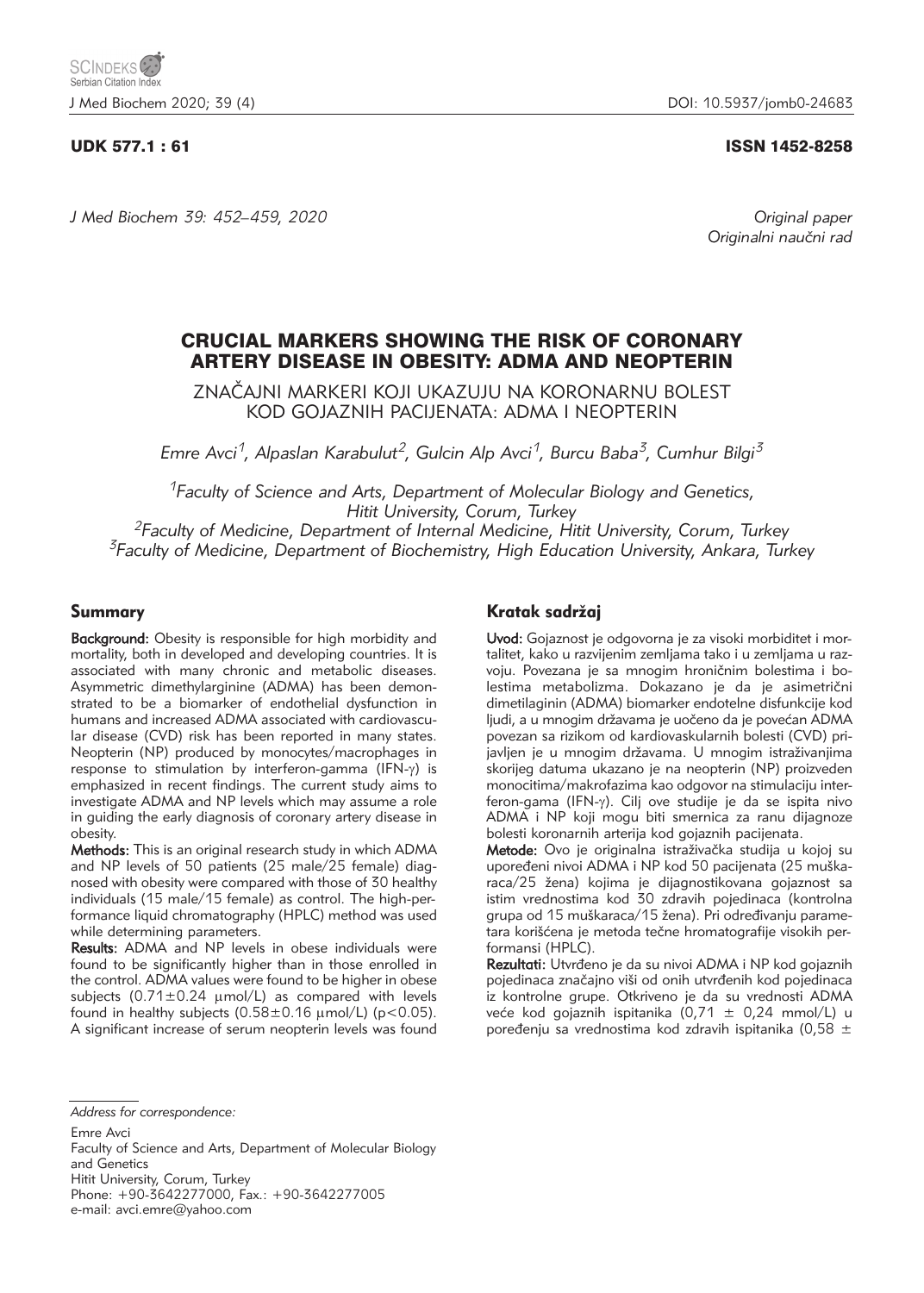# UDK 577.1 : 61 ISSN 1452-8258

*J Med Biochem 39: 452–459, 2020 Original paper*

Originalni naučni rad

# CRUCIAL MARKERS SHOWING THE RISK OF CORONARY ARTERY DISEASE IN OBESITY: ADMA AND NEOPTERIN

ZNA^AJNI MARKERI KOJI UKAZUJU NA KORONARNU BOLEST KOD GOJAZNIH PACIJENATA: ADMA I NEOPTERIN

*Emre Avci1, Alpaslan Karabulut2, Gulcin Alp Avci1, Burcu Baba3, Cumhur Bilgi3*

*1Faculty of Science and Arts, Department of Molecular Biology and Genetics, Hitit University, Corum, Turkey 2Faculty of Medicine, Department of Internal Medicine, Hitit University, Corum, Turkey*

*3Faculty of Medicine, Department of Biochemistry, High Education University, Ankara, Turkey*

# Summary

Background: Obesity is responsible for high morbidity and mortality, both in developed and developing countries. It is associated with many chronic and metabolic diseases. Asymmetric dimethylarginine (ADMA) has been demonstrated to be a biomarker of endothelial dysfunction in humans and increased ADMA associated with cardiovascular disease (CVD) risk has been reported in many states. Neopterin (NP) produced by monocytes/macrophages in response to stimulation by interferon-gamma  $(IFN-\gamma)$  is emphasized in recent findings. The current study aims to investigate ADMA and NP levels which may assume a role in guiding the early diagnosis of coronary artery disease in obesity.

Methods: This is an original research study in which ADMA and NP levels of 50 patients (25 male/25 female) diagnosed with obesity were compared with those of 30 healthy individuals (15 male/15 female) as control. The high-performance liquid chromatography (HPLC) method was used while determining parameters.

Results: ADMA and NP levels in obese individuals were found to be significantly higher than in those enrolled in the control. ADMA values were found to be higher in obese subjects  $(0.71 \pm 0.24 \mu \text{mol/L})$  as compared with levels found in healthy subjects  $(0.58 \pm 0.16 \mu \text{mol/L})$  (p<0.05). A significant increase of serum neopterin levels was found

# Kratak sadržaj

Uvod: Gojaznost je odgovorna je za visoki morbiditet i mortalitet, kako u razvijenim zemljama tako i u zemljama u razvoju. Povezana je sa mnogim hroničnim bolestima i bolestima metabolizma. Dokazano je da je asimetrični dimetilaginin (ADMA) biomarker endotelne disfunkcije kod ljudi, a u mnogim državama je uočeno da je povećan ADMA povezan sa rizikom od kardiovaskularnih bolesti (CVD) prijavljen je u mnogim državama. U mnogim istraživanjima skorijeg datuma ukazano je na neopterin (NP) proizveden monocitima/makrofazima kao odgovor na stimulaciju interferon-gama (IFN-g). Cilj ove studije je da se ispita nivo ADMA i NP koji mogu biti smernica za ranu dijagnoze bolesti koronarnih arterija kod gojaznih pacijenata.

Metode: Ovo je originalna istraživačka studija u kojoj su upoređeni nivoi ADMA i NP kod 50 pacijenata (25 muškaraca/25 žena) kojima je dijagnostikovana gojaznost sa istim vrednostima kod 30 zdravih pojedinaca (kontrolna grupa od 15 muškaraca/15 žena). Pri određivanju parametara korišćena je metoda tečne hromatografije visokih performansi (HPLC).

Rezultati: Utvrđeno je da su nivoi ADMA i NP kod gojaznih pojedinaca značajno viši od onih utvrđenih kod pojedinaca iz kontrolne grupe. Otkriveno je da su vrednosti ADMA veće kod gojaznih ispitanika (0,71  $\pm$  0,24 mmol/L) u poređenju sa vrednostima kod zdravih ispitanika (0,58  $\pm$ 

*Address for correspondence:*

Emre Avci

Hitit University, Corum, Turkey Phone: +90-3642277000, Fax.: +90-3642277005

e-mail: avci.emre@yahoo.com

Faculty of Science and Arts, Department of Molecular Biology and Genetics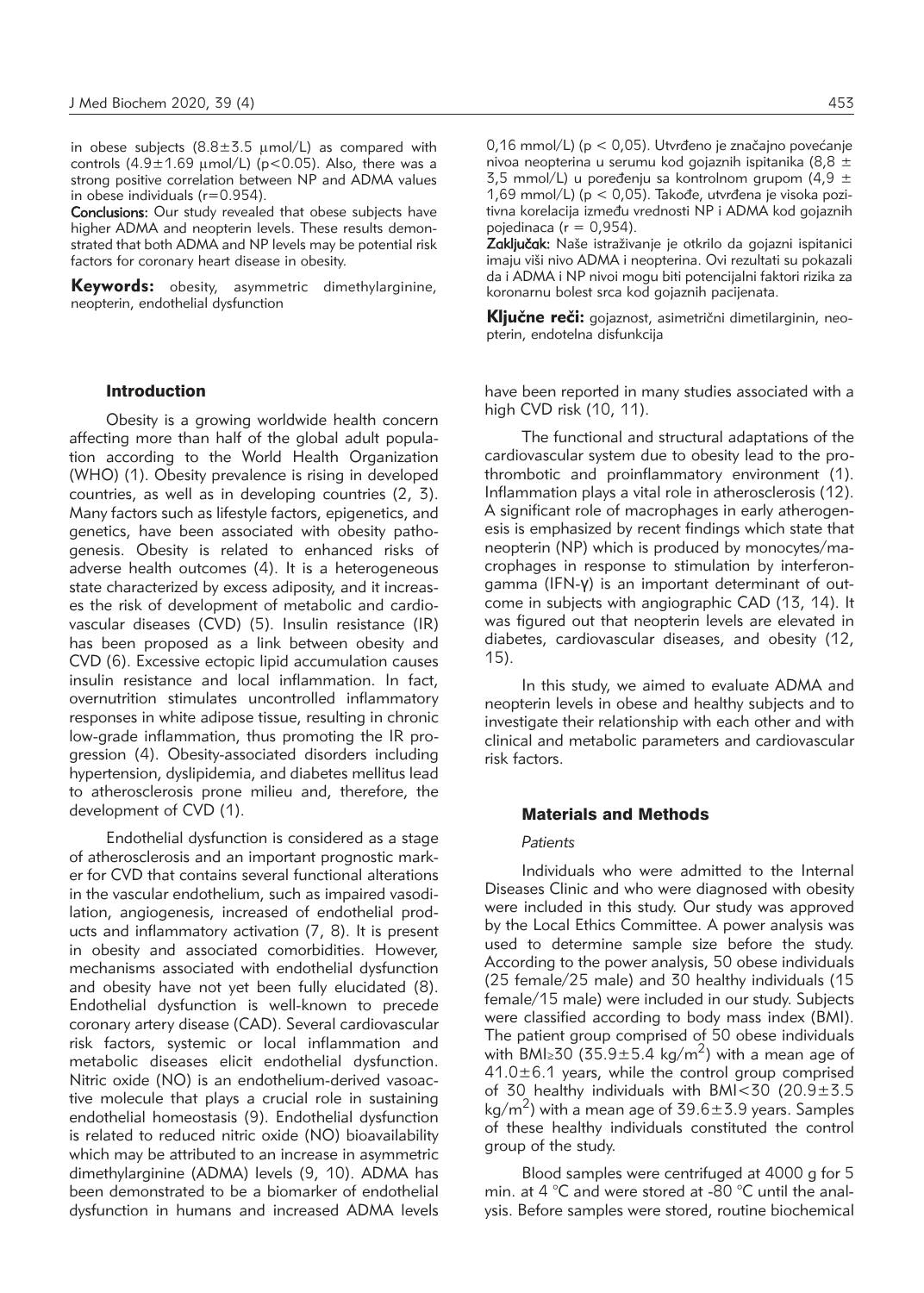in obese subjects  $(8.8 \pm 5.5 \text{ \mu} \text{mol/L})$  as compared with controls  $(4.9 \pm 1.69 \text{ \mu mol/L})$  (p<0.05). Also, there was a strong positive correlation between NP and ADMA values in obese individuals (r=0.954).

Conclusions: Our study revealed that obese subjects have higher ADMA and neopterin levels. These results demonstrated that both ADMA and NP levels may be potential risk factors for coronary heart disease in obesity.

**Keywords:** obesity, asymmetric dimethylarginine, neopterin, endothelial dysfunction

#### Introduction

Obesity is a growing worldwide health concern affecting more than half of the global adult population according to the World Health Organization (WHO) (1). Obesity prevalence is rising in developed countries, as well as in developing countries (2, 3). Many factors such as lifestyle factors, epigenetics, and genetics, have been associated with obesity pathogenesis. Obesity is related to enhanced risks of adverse health outcomes (4). It is a heterogeneous state characterized by excess adiposity, and it increases the risk of development of metabolic and cardiovascular diseases (CVD) (5). Insulin resistance (IR) has been proposed as a link between obesity and CVD (6). Excessive ectopic lipid accumulation causes insulin resistance and local inflammation. In fact, overnutrition stimulates uncontrolled inflammatory responses in white adipose tissue, resulting in chronic low-grade inflammation, thus promoting the IR progression (4). Obesity-associated disorders including hypertension, dyslipidemia, and diabetes mellitus lead to atherosclerosis prone milieu and, therefore, the development of CVD (1).

Endothelial dysfunction is considered as a stage of atherosclerosis and an important prognostic marker for CVD that contains several functional alterations in the vascular endothelium, such as impaired vasodilation, angiogenesis, increased of endothelial products and inflammatory activation (7, 8). It is present in obesity and associated comorbidities. However, mechanisms associated with endothelial dysfunction and obesity have not yet been fully elucidated (8). Endothelial dysfunction is well-known to precede coronary artery disease (CAD). Several cardiovascular risk factors, systemic or local inflammation and metabolic diseases elicit endothelial dysfunction. Nitric oxide (NO) is an endothelium-derived vasoactive molecule that plays a crucial role in sustaining endothelial homeostasis (9). Endothelial dysfunction is related to reduced nitric oxide (NO) bioavailability which may be attributed to an increase in asymmetric dimethylarginine (ADMA) levels (9, 10). ADMA has been demonstrated to be a biomarker of endothelial dysfunction in humans and increased ADMA levels  $0.16$  mmol/L) ( $p < 0.05$ ). Utvrđeno je značajno povećanje nivoa neopterina u serumu kod gojaznih ispitanika (8,8 ± 3,5 mmol/L) u poređenju sa kontrolnom grupom (4,9  $\pm$ 1,69 mmol/L) ( $p < 0.05$ ). Takođe, utvrđena je visoka pozitivna korelacija između vrednosti NP i ADMA kod gojaznih pojedinaca ( $r = 0.954$ ).

Zaključak: Naše istraživanje je otkrilo da gojazni ispitanici imaju viši nivo ADMA i neopterina. Ovi rezultati su pokazali da i ADMA i NP nivoi mogu biti potencijalni faktori rizika za koronarnu bolest srca kod gojaznih pacijenata.

Ključne reči: gojaznost, asimetrični dimetilarginin, neopterin, endotelna disfunkcija

have been reported in many studies associated with a high CVD risk (10, 11).

The functional and structural adaptations of the cardiovascular system due to obesity lead to the prothrombotic and proinflammatory environment (1). Inflammation plays a vital role in atherosclerosis (12). A significant role of macrophages in early atherogenesis is emphasized by recent findings which state that neopterin (NP) which is produced by monocytes/macrophages in response to stimulation by interferongamma (IFN-γ) is an important determinant of outcome in subjects with angiographic CAD (13, 14). It was figured out that neopterin levels are elevated in diabetes, cardiovascular diseases, and obesity (12, 15).

In this study, we aimed to evaluate ADMA and neopterin levels in obese and healthy subjects and to investigate their relationship with each other and with clinical and metabolic parameters and cardiovascular risk factors.

# Materials and Methods

### *Patients*

Individuals who were admitted to the Internal Diseases Clinic and who were diagnosed with obesity were included in this study. Our study was approved by the Local Ethics Committee. A power analysis was used to determine sample size before the study. According to the power analysis, 50 obese individuals (25 female/25 male) and 30 healthy individuals (15 female/15 male) were included in our study. Subjects were classified according to body mass index (BMI). The patient group comprised of 50 obese individuals with BMI≥30 (35.9±5.4 kg/m<sup>2</sup>) with a mean age of  $41.0\pm6.1$  years, while the control group comprised of 30 healthy individuals with BMI<30 (20.9±3.5  $\text{kg/m}^2$ ) with a mean age of 39.6 $\pm$ 3.9 years. Samples of these healthy individuals constituted the control group of the study.

Blood samples were centrifuged at 4000 g for 5 min. at 4 °C and were stored at -80 °C until the analysis. Before samples were stored, routine biochemical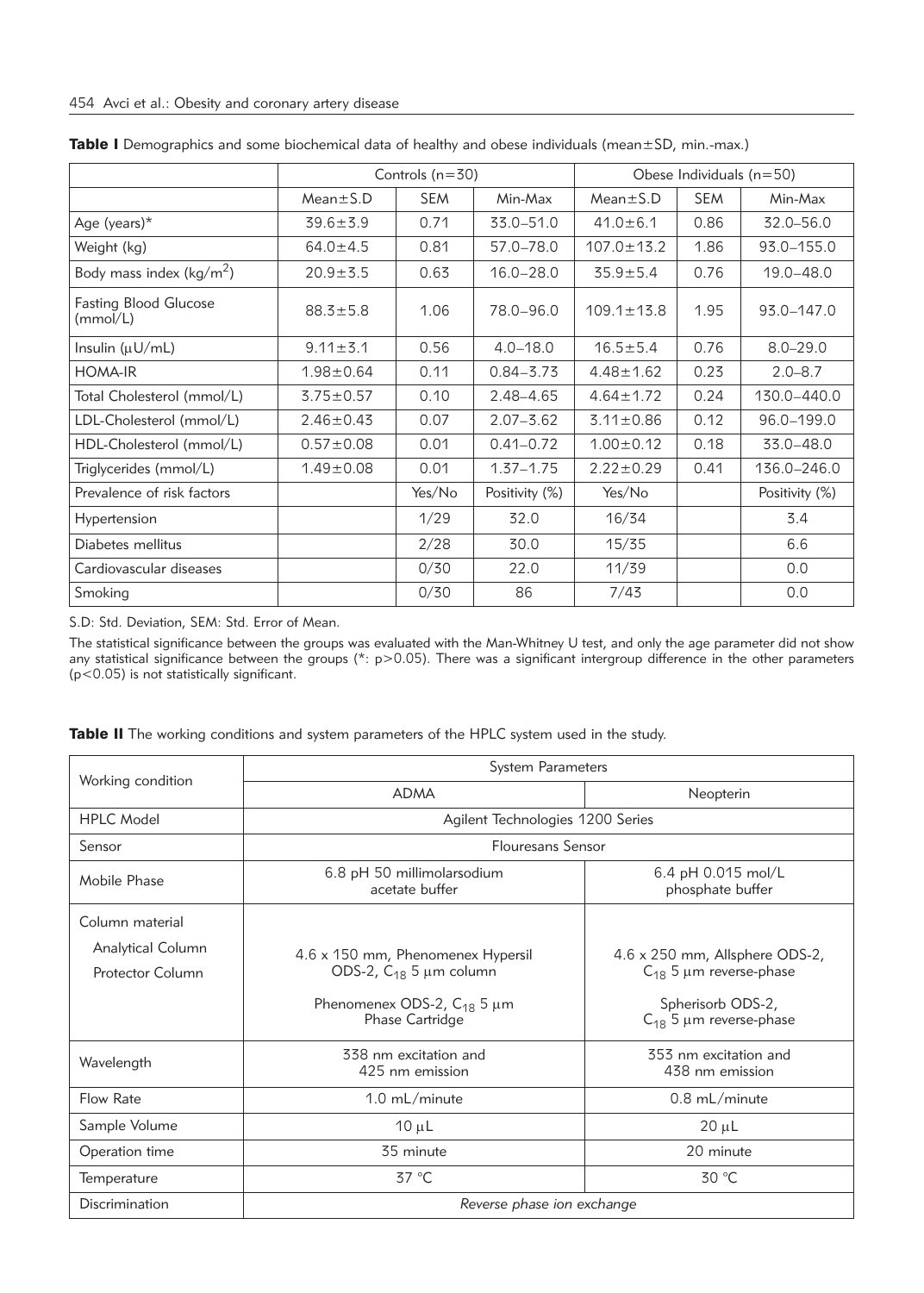|                                     | Controls $(n=30)$ |            |                | Obese Individuals $(n=50)$ |            |                |
|-------------------------------------|-------------------|------------|----------------|----------------------------|------------|----------------|
|                                     | $Mean \pm S.D$    | <b>SEM</b> | Min-Max        | $Mean \pm S.D$             | <b>SEM</b> | Min-Max        |
| Age (years) $*$                     | $39.6 \pm 3.9$    | 0.71       | 33.0-51.0      | $41.0 \pm 6.1$             | 0.86       | 32.0-56.0      |
| Weight (kg)                         | $64.0 \pm 4.5$    | 0.81       | 57.0-78.0      | $107.0 \pm 13.2$           | 1.86       | 93.0-155.0     |
| Body mass index ( $\text{kg/m}^2$ ) | $20.9 + 5.5$      | 0.63       | $16.0 - 28.0$  | $35.9 \pm 5.4$             | 0.76       | $19.0 - 48.0$  |
| Fasting Blood Glucose<br>(mmol/L)   | $88.3 \pm 5.8$    | 1.06       | 78.0-96.0      | $109.1 \pm 13.8$           | 1.95       | 93.0-147.0     |
| Insulin $(\mu U/mL)$                | $9.11 \pm 3.1$    | 0.56       | $4.0 - 18.0$   | $16.5 \pm 5.4$             | 0.76       | $8.0 - 29.0$   |
| <b>HOMA-IR</b>                      | $1.98 \pm 0.64$   | 0.11       | $0.84 - 3.73$  | $4.48 \pm 1.62$            | 0.23       | $2.0 - 8.7$    |
| Total Cholesterol (mmol/L)          | $3.75 \pm 0.57$   | 0.10       | 2.48-4.65      | $4.64 \pm 1.72$            | 0.24       | 130.0-440.0    |
| LDL-Cholesterol (mmol/L)            | $2.46 \pm 0.43$   | 0.07       | $2.07 - 3.62$  | $3.11 \pm 0.86$            | 0.12       | 96.0-199.0     |
| HDL-Cholesterol (mmol/L)            | $0.57 \pm 0.08$   | 0.01       | $0.41 - 0.72$  | $1.00 \pm 0.12$            | 0.18       | 33.0-48.0      |
| Triglycerides (mmol/L)              | $1.49 \pm 0.08$   | 0.01       | $1.37 - 1.75$  | $2.22 \pm 0.29$            | 0.41       | 136.0-246.0    |
| Prevalence of risk factors          |                   | Yes/No     | Positivity (%) | Yes/No                     |            | Positivity (%) |
| Hypertension                        |                   | 1/29       | 32.0           | 16/34                      |            | 3.4            |
| Diabetes mellitus                   |                   | 2/28       | 30.0           | 15/35                      |            | 6.6            |
| Cardiovascular diseases             |                   | 0/30       | 22.0           | 11/39                      |            | 0.0            |
| Smoking                             |                   | 0/30       | 86             | 7/43                       |            | 0.0            |

Table I Demographics and some biochemical data of healthy and obese individuals (mean±SD, min.-max.)

S.D: Std. Deviation, SEM: Std. Error of Mean.

The statistical significance between the groups was evaluated with the Man-Whitney U test, and only the age parameter did not show any statistical significance between the groups (\*: p>0.05). There was a significant intergroup difference in the other parameters (p<0.05) is not statistically significant.

| Table II The working conditions and system parameters of the HPLC system used in the study. |  |  |  |  |
|---------------------------------------------------------------------------------------------|--|--|--|--|
|                                                                                             |  |  |  |  |

| Working condition                     | <b>System Parameters</b>                                                                            |                                                                                    |  |  |  |
|---------------------------------------|-----------------------------------------------------------------------------------------------------|------------------------------------------------------------------------------------|--|--|--|
|                                       | <b>ADMA</b>                                                                                         | Neopterin                                                                          |  |  |  |
| <b>HPLC Model</b>                     | Agilent Technologies 1200 Series                                                                    |                                                                                    |  |  |  |
| Sensor                                | <b>Flouresans Sensor</b>                                                                            |                                                                                    |  |  |  |
| Mobile Phase                          | 6.8 pH 50 millimolarsodium<br>acetate buffer                                                        | 6.4 pH $0.015$ mol/L<br>phosphate buffer                                           |  |  |  |
| Column material                       |                                                                                                     |                                                                                    |  |  |  |
| Analytical Column<br>Protector Column | 4.6 x 150 mm, Phenomenex Hypersil<br>ODS-2, $C_{18}$ 5 µm column<br>Phenomenex ODS-2, $C_{18}$ 5 µm | 4.6 x 250 mm, Allsphere ODS-2,<br>$C_{18}$ 5 µm reverse-phase<br>Spherisorb ODS-2, |  |  |  |
|                                       | Phase Cartridge                                                                                     | $C_{18}$ 5 µm reverse-phase                                                        |  |  |  |
| Wavelength                            | 338 nm excitation and<br>425 nm emission                                                            | 353 nm excitation and<br>438 nm emission                                           |  |  |  |
| Flow Rate                             | $1.0 \text{ mL/minute}$                                                                             | $0.8 \text{ mL/minute}$                                                            |  |  |  |
| Sample Volume                         | $10 \mu L$                                                                                          | $20 \mu L$                                                                         |  |  |  |
| Operation time                        | 35 minute                                                                                           | 20 minute                                                                          |  |  |  |
| Temperature                           | 37 °C                                                                                               | 30 °C                                                                              |  |  |  |
| Discrimination                        | Reverse phase ion exchange                                                                          |                                                                                    |  |  |  |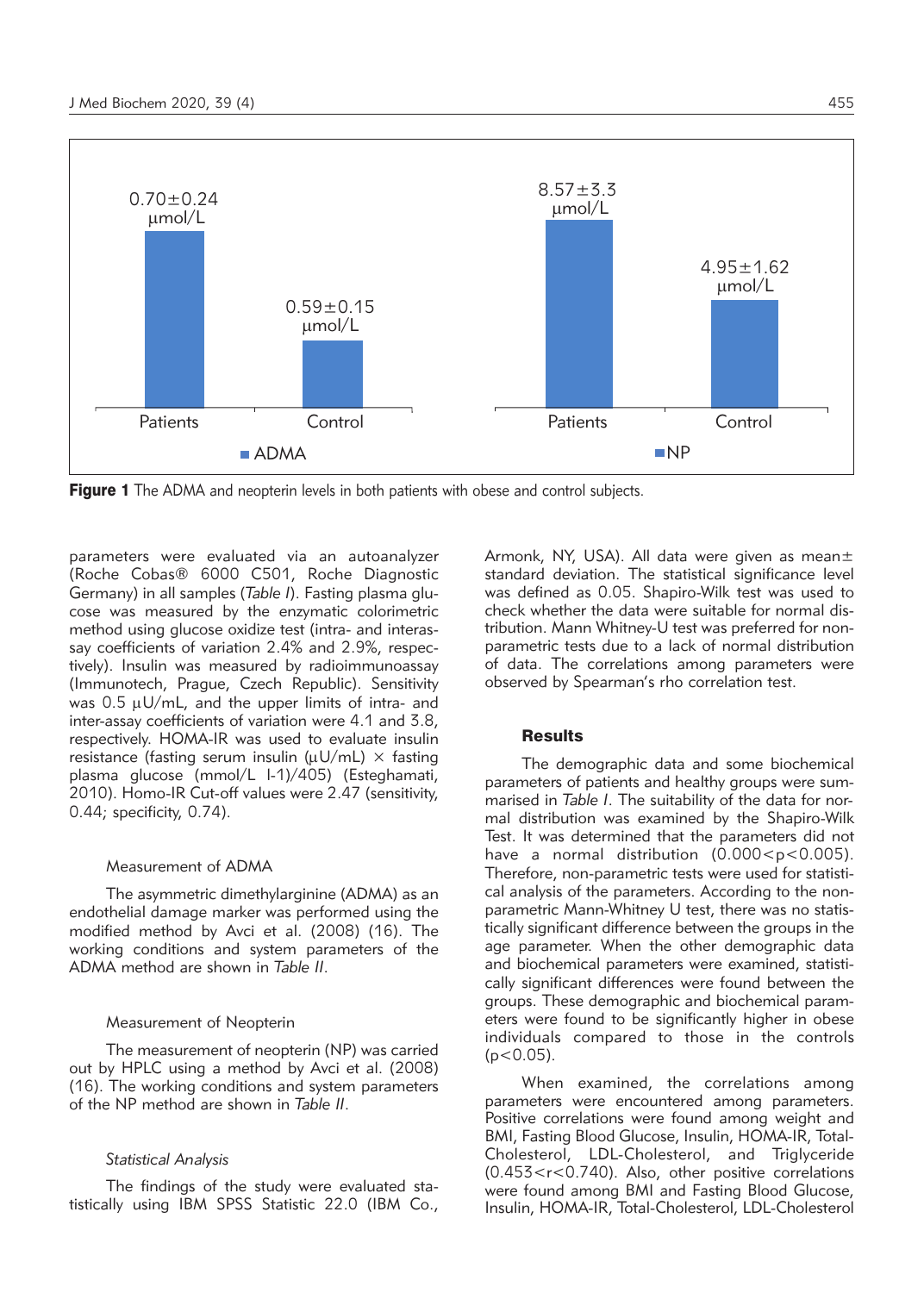

**Figure 1** The ADMA and neopterin levels in both patients with obese and control subjects.

parameters were evaluated via an autoanalyzer (Roche Cobas® 6000 C501, Roche Diagnostic Germany) in all samples (*Table I*). Fasting plasma glucose was measured by the enzymatic colorimetric method using glucose oxidize test (intra- and interassay coefficients of variation 2.4% and 2.9%, respectively). Insulin was measured by radioimmunoassay (Immunotech, Prague, Czech Republic). Sensitivity was  $0.5 \mu U/mL$ , and the upper limits of intra- and inter-assay coefficients of variation were 4.1 and 3.8, respectively. HOMA-IR was used to evaluate insulin resistance (fasting serum insulin ( $\mu$ U/mL)  $\times$  fasting plasma glucose (mmol/L l-1)/405) (Esteghamati, 2010). Homo-IR Cut-off values were 2.47 (sensitivity, 0.44; specificity, 0.74).

#### Measurement of ADMA

The asymmetric dimethylarginine (ADMA) as an endothelial damage marker was performed using the modified method by Avci et al. (2008) (16). The working conditions and system parameters of the ADMA method are shown in *Table II*.

#### Measurement of Neopterin

The measurement of neopterin (NP) was carried out by HPLC using a method by Avci et al. (2008) (16). The working conditions and system parameters of the NP method are shown in *Table II*.

#### *Statistical Analysis*

The findings of the study were evaluated statistically using IBM SPSS Statistic 22.0 (IBM Co., Armonk, NY, USA). All data were given as mean± standard deviation. The statistical significance level was defined as 0.05. Shapiro-Wilk test was used to check whether the data were suitable for normal distribution. Mann Whitney-U test was preferred for nonparametric tests due to a lack of normal distribution of data. The correlations among parameters were observed by Spearman's rho correlation test.

## **Results**

The demographic data and some biochemical parameters of patients and healthy groups were summarised in *Table I*. The suitability of the data for normal distribution was examined by the Shapiro-Wilk Test. It was determined that the parameters did not have a normal distribution (0.000 < p < 0.005). Therefore, non-parametric tests were used for statistical analysis of the parameters. According to the nonparametric Mann-Whitney U test, there was no statistically significant difference between the groups in the age parameter. When the other demographic data and biochemical parameters were examined, statistically significant differences were found between the groups. These demographic and biochemical parameters were found to be significantly higher in obese individuals compared to those in the controls  $(p<0.05)$ .

When examined, the correlations among parameters were encountered among parameters. Positive correlations were found among weight and BMI, Fasting Blood Glucose, Insulin, HOMA-IR, Total-Cholesterol, LDL-Cholesterol, and Triglyceride (0.453<r<0.740). Also, other positive correlations were found among BMI and Fasting Blood Glucose, Insulin, HOMA-IR, Total-Cholesterol, LDL-Cholesterol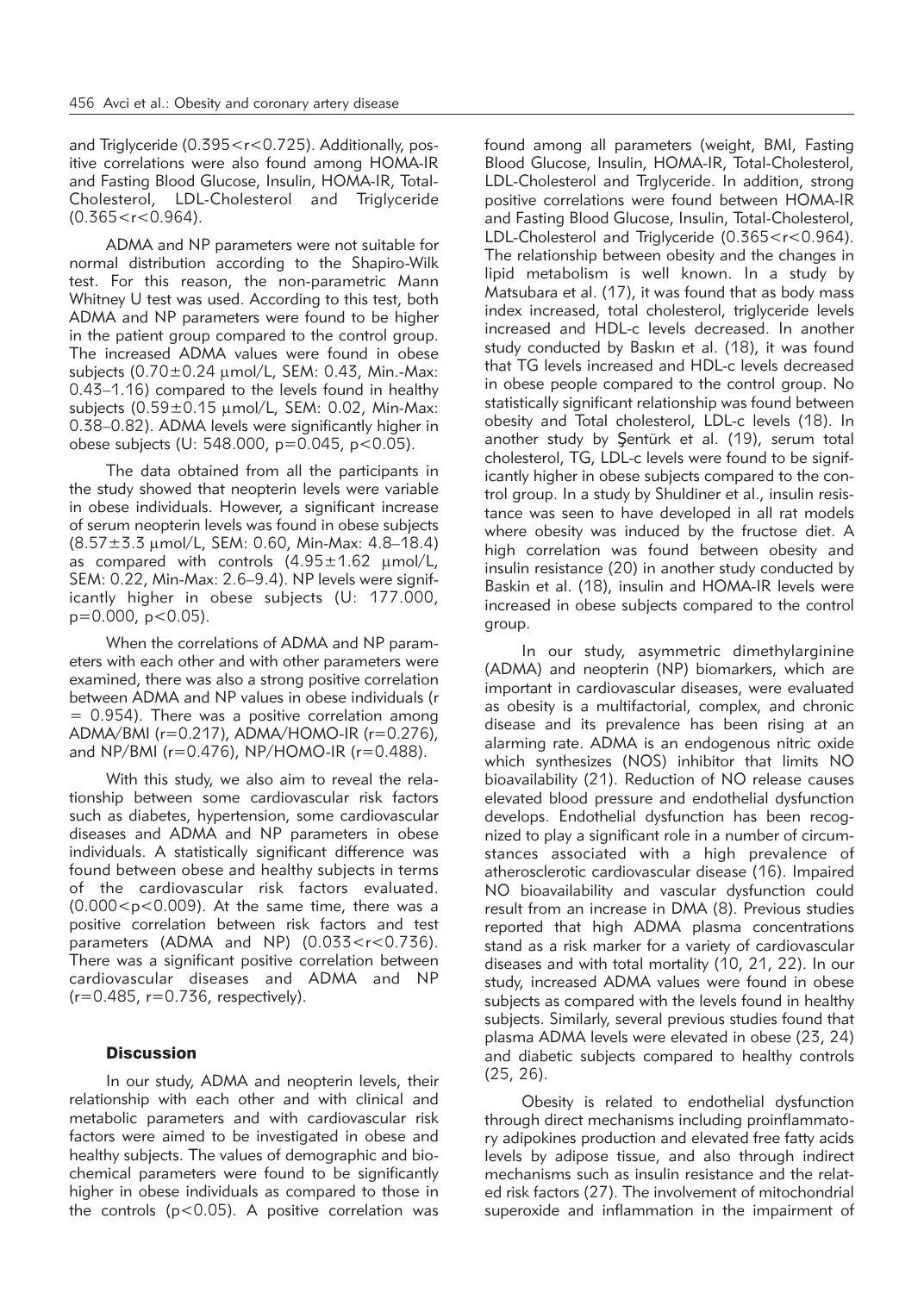and Triglyceride (0.395<r<0.725). Additionally, positive correlations were also found among HOMA-IR and Fasting Blood Glucose, Insulin, HOMA-IR, Total-Cholesterol, LDL-Cholesterol and Triglyceride  $(0.365 < r < 0.964)$ .

ADMA and NP parameters were not suitable for normal distribution according to the Shapiro-Wilk test. For this reason, the non-parametric Mann Whitney U test was used. According to this test, both ADMA and NP parameters were found to be higher in the patient group compared to the control group. The increased ADMA values were found in obese subjects  $(0.70 \pm 0.24 \,\mu\text{mol/L}$ , SEM: 0.43, Min.-Max: 0.43–1.16) compared to the levels found in healthy subjects  $(0.59\pm0.15 \text{ \mu mol/L}$ , SEM: 0.02, Min-Max: 0.38–0.82). ADMA levels were significantly higher in obese subjects (U: 548.000, p=0.045, p<0.05).

The data obtained from all the participants in the study showed that neopterin levels were variable in obese individuals. However, a significant increase of serum neopterin levels was found in obese subjects (8.57±3.3 mmol/L, SEM: 0.60, Min-Max: 4.8–18.4) as compared with controls  $(4.95 \pm 1.62 \mu m o l/l)$ , SEM: 0.22, Min-Max: 2.6–9.4). NP levels were significantly higher in obese subjects (U: 177.000,  $p=0.000$ ,  $p<0.05$ ).

When the correlations of ADMA and NP parameters with each other and with other parameters were examined, there was also a strong positive correlation between ADMA and NP values in obese individuals (r  $= 0.954$ ). There was a positive correlation among ADMA/BMI (r=0.217), ADMA/HOMO-IR (r=0.276), and NP/BMI (r=0.476), NP/HOMO-IR (r=0.488).

With this study, we also aim to reveal the relationship between some cardiovascular risk factors such as diabetes, hypertension, some cardiovascular diseases and ADMA and NP parameters in obese individuals. A statistically significant difference was found between obese and healthy subjects in terms of the cardiovascular risk factors evaluated.  $(0.000 < p < 0.009)$ . At the same time, there was a positive correlation between risk factors and test parameters (ADMA and NP) (0.033<r<0.736). There was a significant positive correlation between cardiovascular diseases and ADMA and NP  $(r=0.485, r=0.736, respectively).$ 

## **Discussion**

In our study, ADMA and neopterin levels, their relationship with each other and with clinical and metabolic parameters and with cardiovascular risk factors were aimed to be investigated in obese and healthy subjects. The values of demographic and biochemical parameters were found to be significantly higher in obese individuals as compared to those in the controls ( $p < 0.05$ ). A positive correlation was

found among all parameters (weight, BMI, Fasting Blood Glucose, Insulin, HOMA-IR, Total-Cholesterol, LDL-Cholesterol and Trglyceride. In addition, strong positive correlations were found between HOMA-IR and Fasting Blood Glucose, Insulin, Total-Cholesterol, LDL-Cholesterol and Triglyceride (0.365<r<0.964). The relationship between obesity and the changes in lipid metabolism is well known. In a study by Matsubara et al. (17), it was found that as body mass index increased, total cholesterol, triglyceride levels increased and HDL-c levels decreased. In another study conducted by Baskın et al. (18), it was found that TG levels increased and HDL-c levels decreased in obese people compared to the control group. No statistically significant relationship was found between obesity and Total cholesterol, LDL-c levels (18). In another study by Şentürk et al. (19), serum total cholesterol, TG, LDL-c levels were found to be significantly higher in obese subjects compared to the control group. In a study by Shuldiner et al., insulin resistance was seen to have developed in all rat models where obesity was induced by the fructose diet. A high correlation was found between obesity and insulin resistance (20) in another study conducted by Baskin et al. (18), insulin and HOMA-IR levels were increased in obese subjects compared to the control group.

In our study, asymmetric dimethylarginine (ADMA) and neopterin (NP) biomarkers, which are important in cardiovascular diseases, were evaluated as obesity is a multifactorial, complex, and chronic disease and its prevalence has been rising at an alarming rate. ADMA is an endogenous nitric oxide which synthesizes (NOS) inhibitor that limits NO bioavailability (21). Reduction of NO release causes elevated blood pressure and endothelial dysfunction develops. Endothelial dysfunction has been recognized to play a significant role in a number of circumstances associated with a high prevalence of atherosclerotic cardiovascular disease (16). Impaired NO bioavailability and vascular dysfunction could result from an increase in DMA (8). Previous studies reported that high ADMA plasma concentrations stand as a risk marker for a variety of cardiovascular diseases and with total mortality (10, 21, 22). In our study, increased ADMA values were found in obese subjects as compared with the levels found in healthy subjects. Similarly, several previous studies found that plasma ADMA levels were elevated in obese (23, 24) and diabetic subjects compared to healthy controls (25, 26).

Obesity is related to endothelial dysfunction through direct mechanisms including proinflammatory adipokines production and elevated free fatty acids levels by adipose tissue, and also through indirect mechanisms such as insulin resistance and the related risk factors (27). The involvement of mitochondrial superoxide and inflammation in the impairment of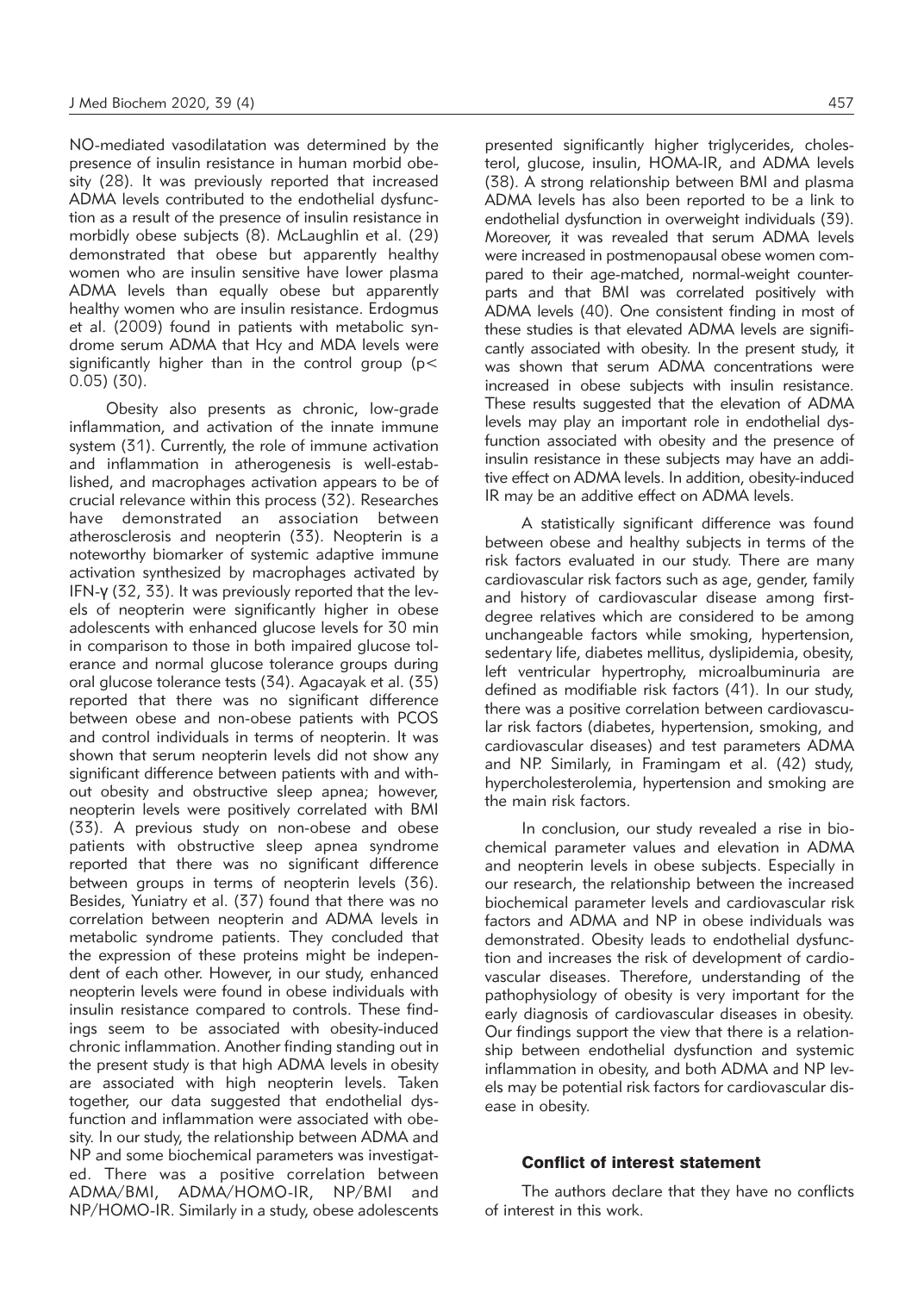NO-mediated vasodilatation was determined by the presence of insulin resistance in human morbid obesity (28). It was previously reported that increased ADMA levels contributed to the endothelial dysfunction as a result of the presence of insulin resistance in morbidly obese subjects (8). McLaughlin et al. (29) demonstrated that obese but apparently healthy women who are insulin sensitive have lower plasma ADMA levels than equally obese but apparently healthy women who are insulin resistance. Erdogmus et al. (2009) found in patients with metabolic syndrome serum ADMA that Hcy and MDA levels were significantly higher than in the control group (p< 0.05) (30).

Obesity also presents as chronic, low-grade inflammation, and activation of the innate immune system (31). Currently, the role of immune activation and inflammation in atherogenesis is well-established, and macrophages activation appears to be of crucial relevance within this process (32). Researches have demonstrated an association between atherosclerosis and neopterin (33). Neopterin is a noteworthy biomarker of systemic adaptive immune activation synthesized by macrophages activated by IFN-γ (32, 33). It was previously reported that the levels of neopterin were significantly higher in obese adolescents with enhanced glucose levels for 30 min in comparison to those in both impaired glucose tolerance and normal glucose tolerance groups during oral glucose tolerance tests (34). Agacayak et al. (35) reported that there was no significant difference between obese and non-obese patients with PCOS and control individuals in terms of neopterin. It was shown that serum neopterin levels did not show any significant difference between patients with and without obesity and obstructive sleep apnea; however, neopterin levels were positively correlated with BMI (33). A previous study on non-obese and obese patients with obstructive sleep apnea syndrome reported that there was no significant difference between groups in terms of neopterin levels (36). Besides, Yuniatry et al. (37) found that there was no correlation between neopterin and ADMA levels in metabolic syndrome patients. They concluded that the expression of these proteins might be independent of each other. However, in our study, enhanced neopterin levels were found in obese individuals with insulin resistance compared to controls. These findings seem to be associated with obesity-induced chronic inflammation. Another finding standing out in the present study is that high ADMA levels in obesity are associated with high neopterin levels. Taken together, our data suggested that endothelial dysfunction and inflammation were associated with obesity. In our study, the relationship between ADMA and NP and some biochemical parameters was investigated. There was a positive correlation between ADMA/BMI, ADMA/HOMO-IR, NP/BMI and NP/HOMO-IR. Similarly in a study, obese adolescents

presented significantly higher triglycerides, cholesterol, glucose, insulin, HOMA-IR, and ADMA levels (38). A strong relationship between BMI and plasma ADMA levels has also been reported to be a link to endothelial dysfunction in overweight individuals (39). Moreover, it was revealed that serum ADMA levels were increased in postmenopausal obese women compared to their age-matched, normal-weight counterparts and that BMI was correlated positively with ADMA levels (40). One consistent finding in most of these studies is that elevated ADMA levels are significantly associated with obesity. In the present study, it was shown that serum ADMA concentrations were increased in obese subjects with insulin resistance. These results suggested that the elevation of ADMA levels may play an important role in endothelial dysfunction associated with obesity and the presence of insulin resistance in these subjects may have an additive effect on ADMA levels. In addition, obesity-induced IR may be an additive effect on ADMA levels.

A statistically significant difference was found between obese and healthy subjects in terms of the risk factors evaluated in our study. There are many cardiovascular risk factors such as age, gender, family and history of cardiovascular disease among firstdegree relatives which are considered to be among unchangeable factors while smoking, hypertension, sedentary life, diabetes mellitus, dyslipidemia, obesity, left ventricular hypertrophy, microalbuminuria are defined as modifiable risk factors (41). In our study, there was a positive correlation between cardiovascular risk factors (diabetes, hypertension, smoking, and cardiovascular diseases) and test parameters ADMA and NP. Similarly, in Framingam et al. (42) study, hypercholesterolemia, hypertension and smoking are the main risk factors.

In conclusion, our study revealed a rise in biochemical parameter values and elevation in ADMA and neopterin levels in obese subjects. Especially in our research, the relationship between the increased biochemical parameter levels and cardiovascular risk factors and ADMA and NP in obese individuals was demonstrated. Obesity leads to endothelial dysfunction and increases the risk of development of cardiovascular diseases. Therefore, understanding of the pathophysiology of obesity is very important for the early diagnosis of cardiovascular diseases in obesity. Our findings support the view that there is a relationship between endothelial dysfunction and systemic inflammation in obesity, and both ADMA and NP levels may be potential risk factors for cardiovascular disease in obesity.

# Conflict of interest statement

The authors declare that they have no conflicts of interest in this work.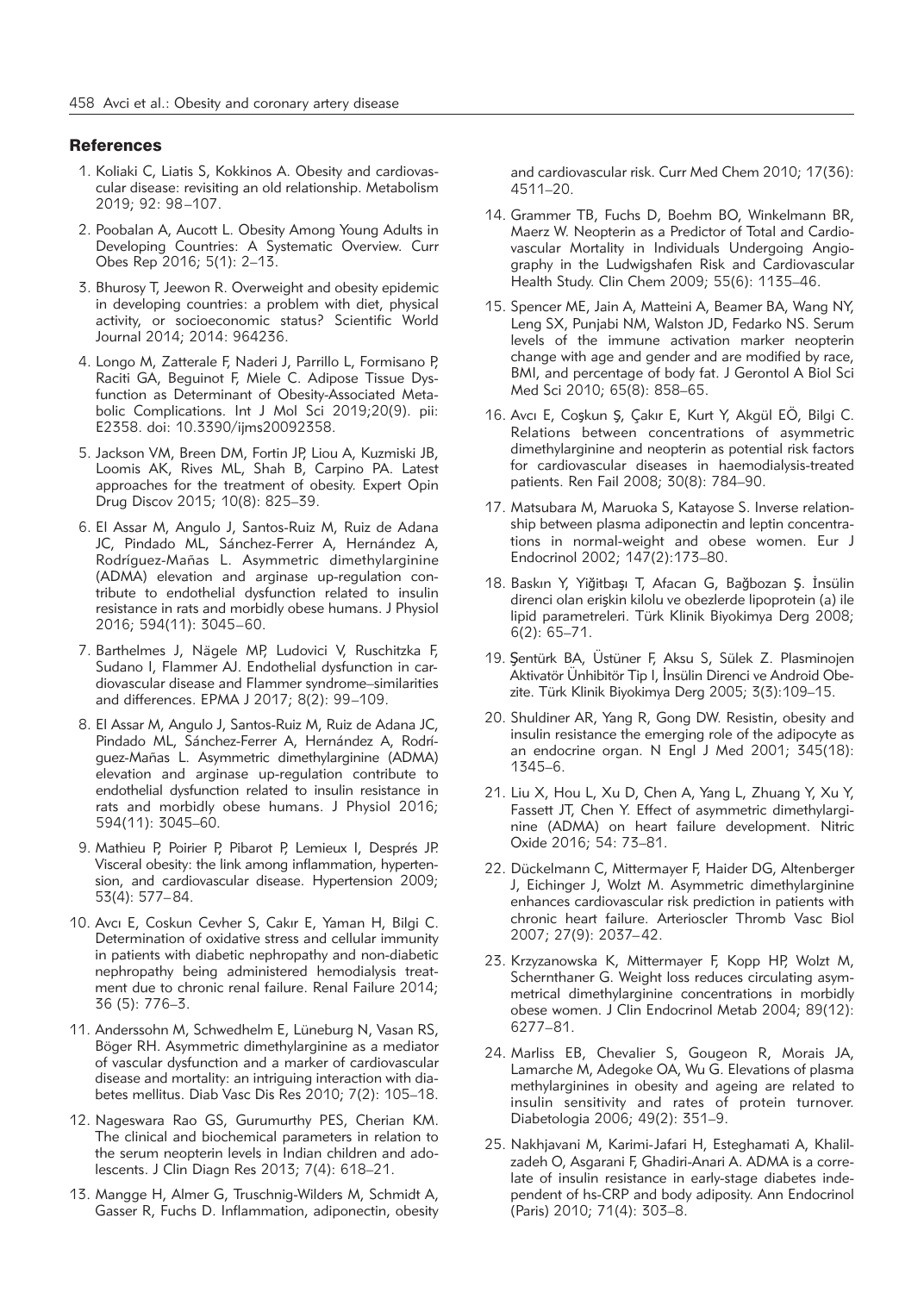#### **References**

- 1. Koliaki C, Liatis S, Kokkinos A. Obesity and cardiovascular disease: revisiting an old relationship. Metabolism 2019; 92: 98–107.
- 2. Poobalan A, Aucott L. Obesity Among Young Adults in Developing Countries: A Systematic Overview. Curr Obes Rep 2016; 5(1): 2–13.
- 3. Bhurosy T, Jeewon R. Overweight and obesity epidemic in developing countries: a problem with diet, physical activity, or socioeconomic status? Scientific World Journal 2014; 2014: 964236.
- 4. Longo M, Zatterale F, Naderi J, Parrillo L, Formisano P, Raciti GA, Beguinot F, Miele C. Adipose Tissue Dysfunction as Determinant of Obesity-Associated Metabolic Complications. Int J Mol Sci 2019;20(9). pii: E2358. doi: 10.3390/ijms20092358.
- 5. Jackson VM, Breen DM, Fortin JP, Liou A, Kuzmiski JB, Loomis AK, Rives ML, Shah B, Carpino PA. Latest approaches for the treatment of obesity. Expert Opin Drug Discov 2015; 10(8): 825–39.
- 6. El Assar M, Angulo J, Santos-Ruiz M, Ruiz de Adana JC, Pindado ML, Sánchez-Ferrer A, Hernández A, Rodríguez-Mañas L. Asymmetric dimethylarginine (ADMA) elevation and arginase up-regulation contribute to endothelial dysfunction related to insulin resistance in rats and morbidly obese humans. J Physiol 2016; 594(11): 3045–60.
- 7. Barthelmes J, Nägele MP, Ludovici V, Ruschitzka F, Sudano I, Flammer AJ. Endothelial dysfunction in cardiovascular disease and Flammer syndrome–similarities and differences. EPMA J 2017; 8(2): 99–109.
- 8. El Assar M, Angulo J, Santos-Ruiz M, Ruiz de Adana JC, Pindado ML, Sánchez-Ferrer A, Hernández A, Rodríguez-Mañas L. Asymmetric dimethylarginine (ADMA) elevation and arginase up-regulation contribute to endothelial dysfunction related to insulin resistance in rats and morbidly obese humans. J Physiol 2016; 594(11): 3045–60.
- 9. Mathieu P, Poirier P, Pibarot P, Lemieux I, Després JP. Visceral obesity: the link among inflammation, hypertension, and cardiovascular disease. Hypertension 2009; 53(4): 577–84.
- 10. Avcı E, Coskun Cevher S, Cakır E, Yaman H, Bilgi C. Determination of oxidative stress and cellular immunity in patients with diabetic nephropathy and non-diabetic nephropathy being administered hemodialysis treatment due to chronic renal failure. Renal Failure 2014; 36 (5): 776–3.
- 11. Anderssohn M, Schwedhelm E, Lüneburg N, Vasan RS, Böger RH. Asymmetric dimethylarginine as a mediator of vascular dysfunction and a marker of cardiovascular disease and mortality: an intriguing interaction with diabetes mellitus. Diab Vasc Dis Res 2010; 7(2): 105–18.
- 12. Nageswara Rao GS, Gurumurthy PES, Cherian KM. The clinical and biochemical parameters in relation to the serum neopterin levels in Indian children and adolescents. J Clin Diagn Res 2013; 7(4): 618–21.
- 13. Mangge H, Almer G, Truschnig-Wilders M, Schmidt A, Gasser R, Fuchs D. Inflammation, adiponectin, obesity

and cardiovascular risk. Curr Med Chem 2010; 17(36): 4511–20.

- 14. Grammer TB, Fuchs D, Boehm BO, Winkelmann BR, Maerz W. Neopterin as a Predictor of Total and Cardiovascular Mortality in Individuals Undergoing Angiography in the Ludwigshafen Risk and Cardiovascular Health Study. Clin Chem 2009; 55(6): 1135–46.
- 15. Spencer ME, Jain A, Matteini A, Beamer BA, Wang NY, Leng SX, Punjabi NM, Walston JD, Fedarko NS. Serum levels of the immune activation marker neopterin change with age and gender and are modified by race, BMI, and percentage of body fat. J Gerontol A Biol Sci Med Sci 2010; 65(8): 858–65.
- 16. Avcı E, Coşkun Ş, Çakır E, Kurt Y, Akgül EÖ, Bilgi C. Relations between concentrations of asymmetric dimethylarginine and neopterin as potential risk factors for cardiovascular diseases in haemodialysis-treated patients. Ren Fail 2008; 30(8): 784–90.
- 17. Matsubara M, Maruoka S, Katayose S. Inverse relationship between plasma adiponectin and leptin concentrations in normal-weight and obese women. Eur J Endocrinol 2002; 147(2):173–80.
- 18. Baskın Y, Yiğitbaşı T, Afacan G, Bağbozan Ş. İnsülin direnci olan erişkin kilolu ve obezlerde lipoprotein (a) ile lipid parametreleri. Türk Klinik Biyokimya Derg 2008; 6(2): 65–71.
- 19. Şentürk BA, Üstüner F, Aksu S, Sülek Z. Plasminojen Aktivatör Ünhibitör Tip I, İnsülin Direnci ve Android Obe zite. Türk Klinik Biyokimya Derg 2005; 3(3):109–15.
- 20. Shuldiner AR, Yang R, Gong DW. Resistin, obesity and insulin resistance the emerging role of the adipocyte as an endocrine organ. N Engl J Med 2001; 345(18): 1345–6.
- 21. Liu X, Hou L, Xu D, Chen A, Yang L, Zhuang Y, Xu Y, Fassett JT, Chen Y. Effect of asymmetric dimethylarginine (ADMA) on heart failure development. Nitric Oxide 2016; 54: 73–81.
- 22. Dückelmann C, Mittermayer F, Haider DG, Altenberger J, Eichinger J, Wolzt M. Asymmetric dimethylarginine enhances cardiovascular risk prediction in patients with chronic heart failure. Arterioscler Thromb Vasc Biol 2007; 27(9): 2037–42.
- 23. Krzyzanowska K, Mittermayer F, Kopp HP, Wolzt M, Schernthaner G. Weight loss reduces circulating asymmetrical dimethylarginine concentrations in morbidly obese women. J Clin Endocrinol Metab 2004; 89(12): 6277–81.
- 24. Marliss EB, Chevalier S, Gougeon R, Morais JA, Lamarche M, Adegoke OA, Wu G. Elevations of plasma methylarginines in obesity and ageing are related to insulin sensitivity and rates of protein turnover. Diabetologia 2006; 49(2): 351–9.
- 25. Nakhjavani M, Karimi-Jafari H, Esteghamati A, Khalil zadeh O, Asgarani F, Ghadiri-Anari A. ADMA is a correlate of insulin resistance in early-stage diabetes independent of hs-CRP and body adiposity. Ann Endocrinol (Paris) 2010; 71(4): 303–8.